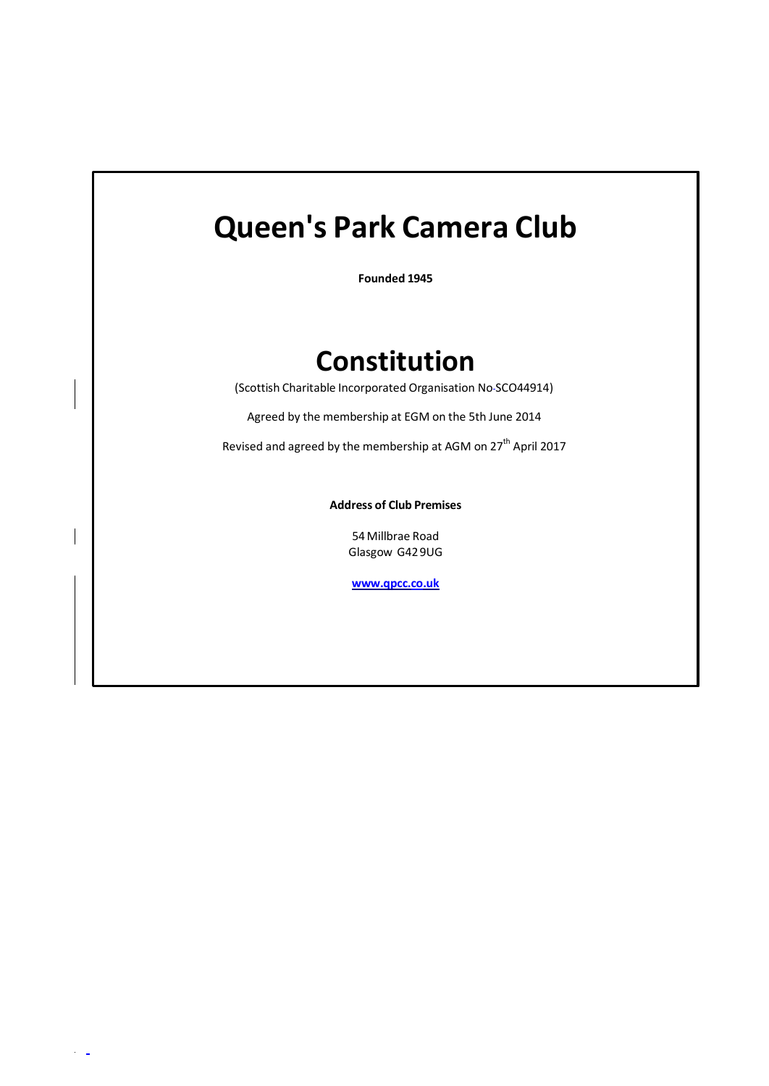# **Queen's Park Camera Club**

**Founded 1945**

# **Constitution**

(Scottish Charitable Incorporated Organisation No SCO44914)

Agreed by the membership at EGM on the 5th June 2014

Revised and agreed by the membership at AGM on  $27<sup>th</sup>$  April 2017

**Address of Club Premises**

54Millbrae Road Glasgow G429UG

**[www.qpcc.co.uk](http://www.qpcc.co.uk/)**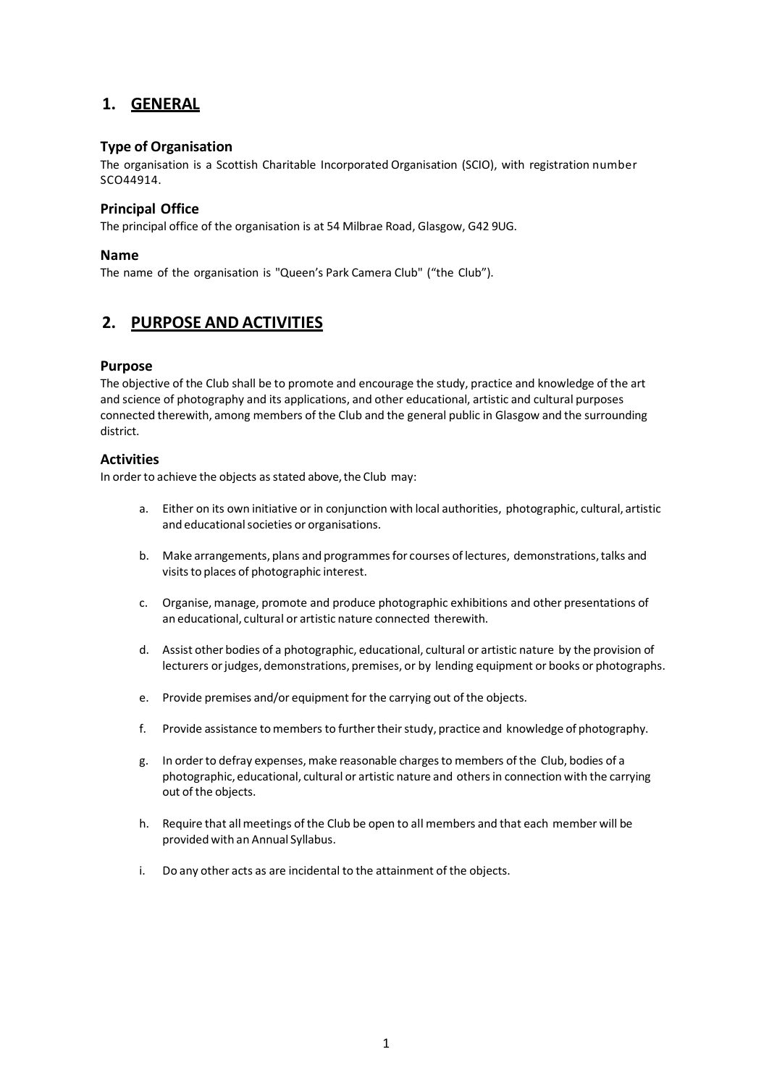# **1. GENERAL**

# **Type of Organisation**

The organisation is a Scottish Charitable Incorporated Organisation (SCIO), with registration number SCO44914.

# **Principal Office**

The principal office of the organisation is at 54 Milbrae Road, Glasgow, G42 9UG.

#### **Name**

The name of the organisation is "Queen's Park Camera Club" ("the Club").

# **2. PURPOSE AND ACTIVITIES**

#### **Purpose**

The objective of the Club shall be to promote and encourage the study, practice and knowledge of the art and science of photography and its applications, and other educational, artistic and cultural purposes connected therewith, among members of the Club and the general public in Glasgow and the surrounding district.

# **Activities**

In order to achieve the objects as stated above, the Club may:

- a. Either on its own initiative or in conjunction with local authorities, photographic, cultural, artistic and educational societies or organisations.
- b. Make arrangements, plans and programmes for courses of lectures, demonstrations, talks and visits to places of photographic interest.
- c. Organise, manage, promote and produce photographic exhibitions and other presentations of an educational, cultural or artistic nature connected therewith.
- d. Assist other bodies of a photographic, educational, cultural or artistic nature by the provision of lecturers or judges, demonstrations, premises, or by lending equipment or books or photographs.
- e. Provide premises and/or equipment for the carrying out of the objects.
- f. Provide assistance to members to further their study, practice and knowledge of photography.
- g. In orderto defray expenses,make reasonable chargesto members of the Club, bodies of a photographic, educational, cultural or artistic nature and othersin connection with the carrying out of the objects.
- h. Require that allmeetings of the Club be open to all members and that each member will be provided with an Annual Syllabus.
- i. Do any other acts as are incidental to the attainment of the objects.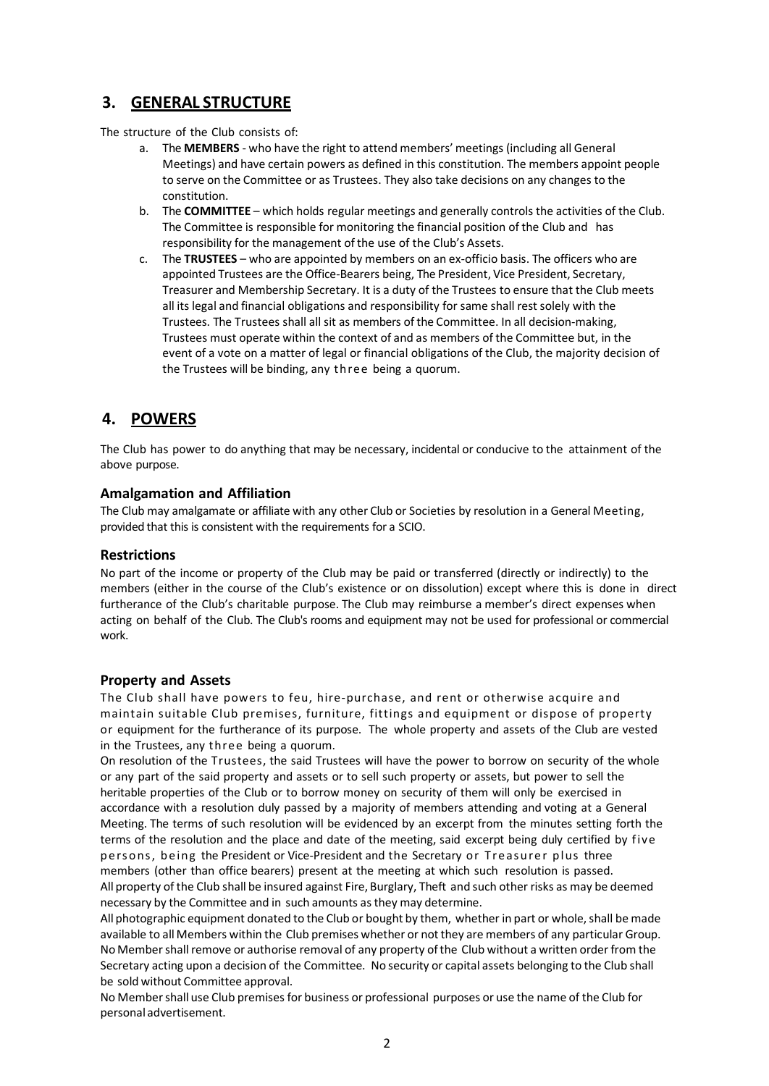# **3. GENERAL STRUCTURE**

The structure of the Club consists of:

- a. The **MEMBERS** who have the right to attend members' meetings (including all General Meetings) and have certain powers as defined in this constitution. The members appoint people to serve on the Committee or as Trustees. They also take decisions on any changes to the constitution.
- b. The **COMMITTEE** which holds regular meetings and generally controls the activities of the Club. The Committee is responsible for monitoring the financial position of the Club and has responsibility for the management of the use of the Club's Assets.
- c. The **TRUSTEES** who are appointed by members on an ex-officio basis. The officers who are appointed Trustees are the Office-Bearers being, The President, Vice President, Secretary, Treasurer and Membership Secretary. It is a duty of the Trustees to ensure that the Club meets all its legal and financial obligations and responsibility for same shall rest solely with the Trustees. The Trustees shall all sit as members of the Committee. In all decision-making, Trustees must operate within the context of and as members of the Committee but, in the event of a vote on a matter of legal or financial obligations of the Club, the majority decision of the Trustees will be binding, any three being a quorum.

# **4. POWERS**

The Club has power to do anything that may be necessary, incidental or conducive to the attainment of the above purpose.

# **Amalgamation and Affiliation**

The Club may amalgamate or affiliate with any other Club or Societies by resolution in a General Meeting, provided that this is consistent with the requirements for a SCIO.

# **Restrictions**

No part of the income or property of the Club may be paid or transferred (directly or indirectly) to the members (either in the course of the Club's existence or on dissolution) except where this is done in direct furtherance of the Club's charitable purpose. The Club may reimburse a member's direct expenses when acting on behalf of the Club. The Club's rooms and equipment may not be used for professional or commercial work.

# **Property and Assets**

The Club shall have powers to feu, hire-purchase, and rent or otherwise acquire and maintain suitable Club premises, furniture, fittings and equipment or dispose of property or equipment for the furtherance of its purpose. The whole property and assets of the Club are vested in the Trustees, any three being a quorum.

On resolution of the Trustees, the said Trustees will have the power to borrow on security of the whole or any part of the said property and assets or to sell such property or assets, but power to sell the heritable properties of the Club or to borrow money on security of them will only be exercised in accordance with a resolution duly passed by a majority of members attending and voting at a General Meeting. The terms of such resolution will be evidenced by an excerpt from the minutes setting forth the terms of the resolution and the place and date of the meeting, said excerpt being duly certified by five persons, being the President or Vice-President and the Secretary or Treasurer plus three members (other than office bearers) present at the meeting at which such resolution is passed. All property of the Club shall be insured against Fire, Burglary, Theft and such other risks as may be deemed necessary by the Committee and in such amounts asthey may determine.

All photographic equipment donated to the Club or bought by them, whether in part or whole, shall be made available to all Members within the Club premises whether or not they are members of any particular Group. No Member shall remove or authorise removal of any property of the Club without a written order from the Secretary acting upon a decision of the Committee. No security or capital assets belonging to the Club shall be sold without Committee approval.

No Membershall use Club premisesfor business or professional purposes or use the name of the Club for personal advertisement.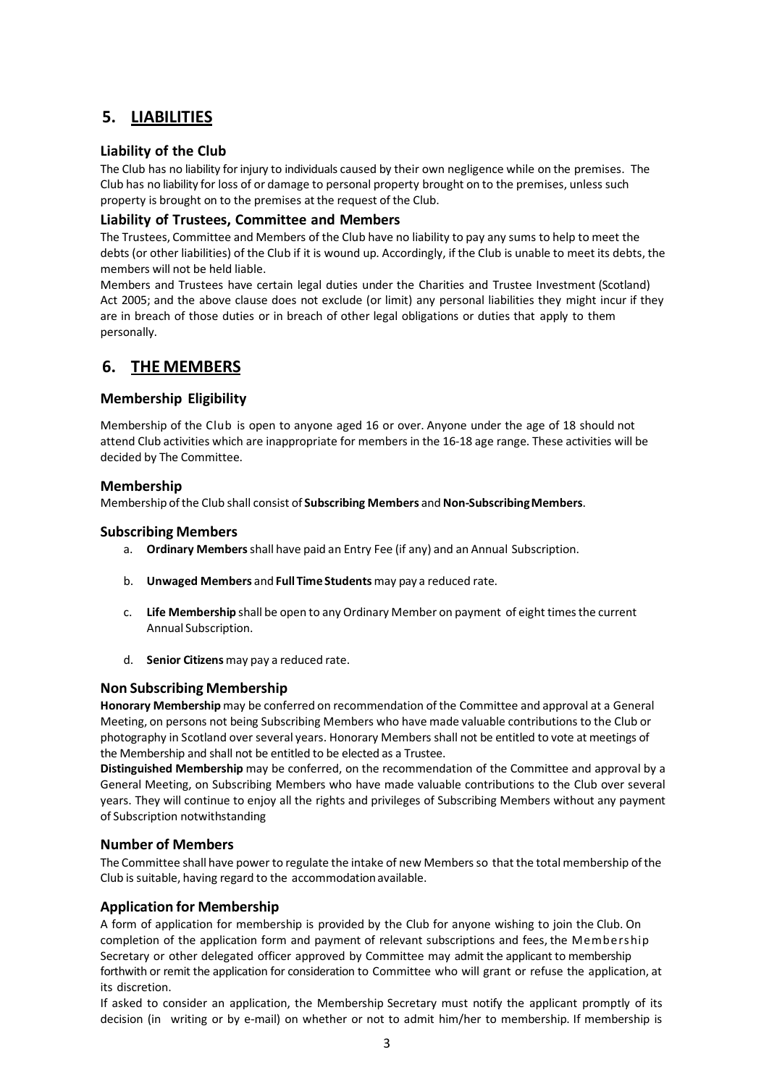# **5. LIABILITIES**

# **Liability of the Club**

The Club has no liability forinjury to individuals caused by their own negligence while on the premises. The Club has no liability for loss of or damage to personal property brought on to the premises, unless such property is brought on to the premises at the request of the Club.

# **Liability of Trustees, Committee and Members**

The Trustees, Committee and Members of the Club have no liability to pay any sums to help to meet the debts (or other liabilities) of the Club if it is wound up. Accordingly, if the Club is unable to meet its debts, the members will not be held liable.

Members and Trustees have certain legal duties under the Charities and Trustee Investment (Scotland) Act 2005; and the above clause does not exclude (or limit) any personal liabilities they might incur if they are in breach of those duties or in breach of other legal obligations or duties that apply to them personally.

# **6. THE MEMBERS**

# **Membership Eligibility**

Membership of the Club is open to anyone aged 16 or over. Anyone under the age of 18 should not attend Club activities which are inappropriate for members in the 16-18 age range. These activities will be decided by The Committee.

# **Membership**

Membership ofthe Club shall consist of **Subscribing Members** and**Non-SubscribingMembers**.

# **Subscribing Members**

- a. **Ordinary Members**shall have paid an Entry Fee (if any) and an Annual Subscription.
- b. **Unwaged Members** and **Full Time Students** may pay a reduced rate.
- c. **Life Membership** shall be open to any Ordinary Member on payment of eight timesthe current Annual Subscription.
- d. **Senior Citizens** may pay a reduced rate.

# **Non Subscribing Membership**

**Honorary Membership** may be conferred on recommendation of the Committee and approval at a General Meeting, on persons not being Subscribing Members who have made valuable contributions to the Club or photography in Scotland over several years. Honorary Members shall not be entitled to vote at meetings of the Membership and shall not be entitled to be elected as a Trustee.

**Distinguished Membership** may be conferred, on the recommendation of the Committee and approval by a General Meeting, on Subscribing Members who have made valuable contributions to the Club over several years. They will continue to enjoy all the rights and privileges of Subscribing Members without any payment of Subscription notwithstanding

# **Number of Members**

The Committee shall have power to regulate the intake of new Members so that the total membership of the Club is suitable, having regard to the accommodationavailable.

# **Application for Membership**

A form of application for membership is provided by the Club for anyone wishing to join the Club. On completion of the application form and payment of relevant subscriptions and fees, the Membership Secretary or other delegated officer approved by Committee may admit the applicant to membership forthwith or remit the application for consideration to Committee who will grant or refuse the application, at its discretion.

If asked to consider an application, the Membership Secretary must notify the applicant promptly of its decision (in writing or by e-mail) on whether or not to admit him/her to membership. If membership is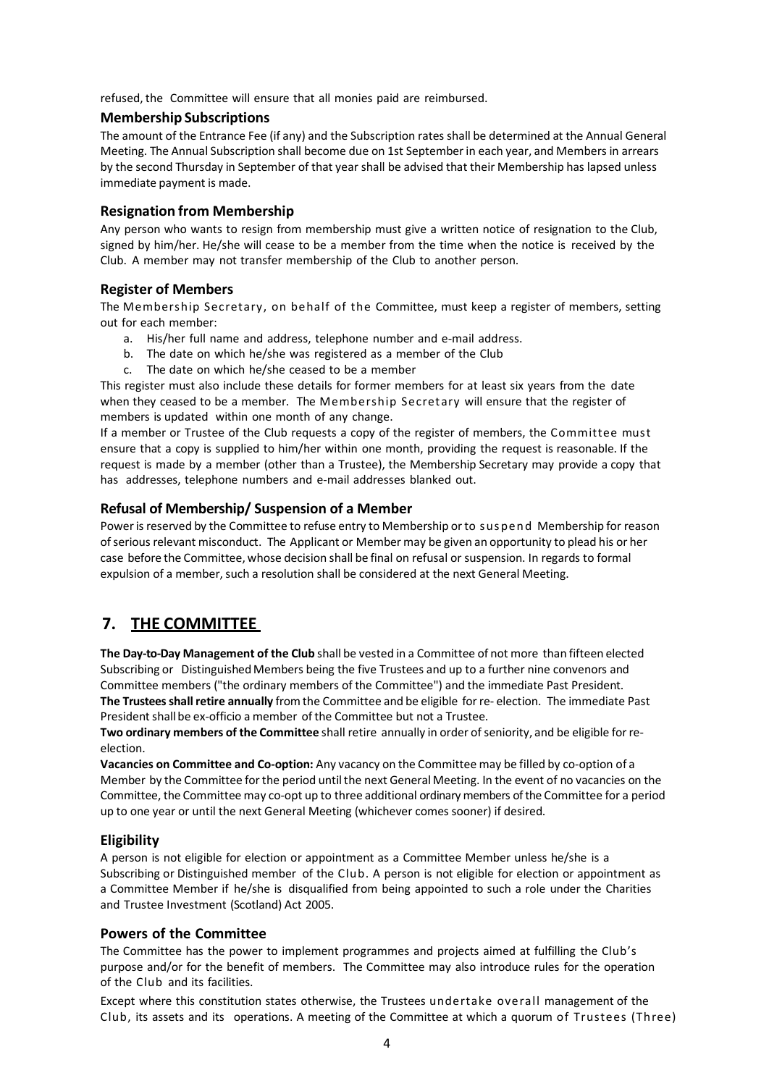refused, the Committee will ensure that all monies paid are reimbursed.

#### **Membership Subscriptions**

The amount of the Entrance Fee (if any) and the Subscription rates shall be determined at the Annual General Meeting. The Annual Subscription shall become due on 1st Septemberin each year, and Members in arrears by the second Thursday in September of that year shall be advised that their Membership has lapsed unless immediate payment is made.

#### **Resignation from Membership**

Any person who wants to resign from membership must give a written notice of resignation to the Club, signed by him/her. He/she will cease to be a member from the time when the notice is received by the Club. A member may not transfer membership of the Club to another person.

#### **Register of Members**

The Membership Secretary, on behalf of the Committee, must keep a register of members, setting out for each member:

- a. His/her full name and address, telephone number and e-mail address.
- b. The date on which he/she was registered as a member of the Club
- c. The date on which he/she ceased to be a member

This register must also include these details for former members for at least six years from the date when they ceased to be a member. The Membership Secretary will ensure that the register of members is updated within one month of any change.

If a member or Trustee of the Club requests a copy of the register of members, the Committee must ensure that a copy is supplied to him/her within one month, providing the request is reasonable. If the request is made by a member (other than a Trustee), the Membership Secretary may provide a copy that has addresses, telephone numbers and e-mail addresses blanked out.

# **Refusal of Membership/ Suspension of a Member**

Power is reserved by the Committee to refuse entry to Membership or to suspend Membership for reason of serious relevant misconduct. The Applicant or Member may be given an opportunity to plead his or her case before the Committee, whose decision shall be final on refusal or suspension. In regards to formal expulsion of a member, such a resolution shall be considered at the next General Meeting.

# **7. THE COMMITTEE**

**The Day-to-Day Management of the Club** shall be vested in a Committee of not more than fifteen elected Subscribing or Distinguished Members being the five Trustees and up to a further nine convenors and Committee members ("the ordinary members of the Committee") and the immediate Past President. **The Trusteesshallretire annually** from the Committee and be eligible forre- election. The immediate Past President shall be ex-officio a member of the Committee but not a Trustee.

**Two ordinary members of the Committee** shall retire annually in order ofseniority, and be eligible forreelection.

**Vacancies on Committee and Co-option:** Any vacancy on the Committee may be filled by co-option of a Member by the Committee forthe period untilthe next General Meeting. In the event of no vacancies on the Committee, the Committee may co-opt up to three additional ordinary members of the Committee for a period up to one year or until the next General Meeting (whichever comes sooner) if desired.

# **Eligibility**

A person is not eligible for election or appointment as a Committee Member unless he/she is a Subscribing or Distinguished member of the Club. A person is not eligible for election or appointment as a Committee Member if he/she is disqualified from being appointed to such a role under the Charities and Trustee Investment (Scotland) Act 2005.

#### **Powers of the Committee**

The Committee has the power to implement programmes and projects aimed at fulfilling the Club's purpose and/or for the benefit of members. The Committee may also introduce rules for the operation of the Club and its facilities.

Except where this constitution states otherwise, the Trustees undertake overall management of the Club, its assets and its operations. A meeting of the Committee at which a quorum of Trustees (Three)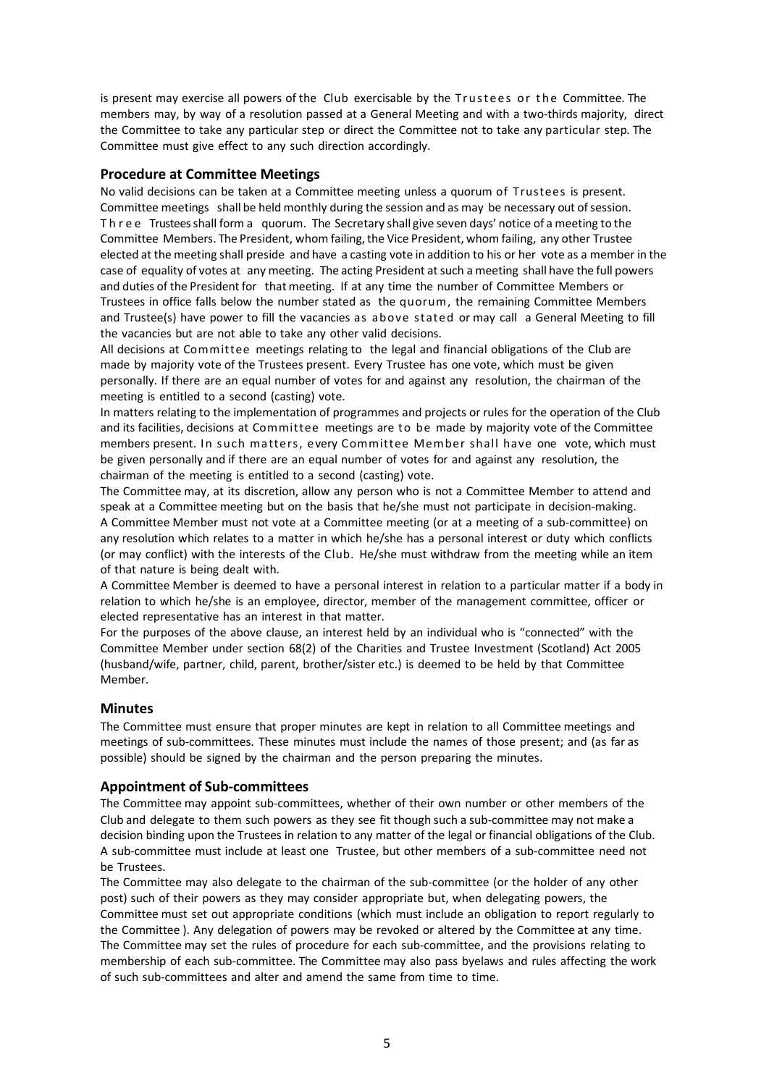is present may exercise all powers of the Club exercisable by the Trustees or the Committee. The members may, by way of a resolution passed at a General Meeting and with a two-thirds majority, direct the Committee to take any particular step or direct the Committee not to take any particular step. The Committee must give effect to any such direction accordingly.

# **Procedure at Committee Meetings**

No valid decisions can be taken at a Committee meeting unless a quorum of Trustees is present. Committee meetings shall be held monthly during the session and as may be necessary out of session. Three Trustees shall form a quorum. The Secretary shall give seven days' notice of a meeting to the Committee Members. The President, whom failing, the Vice President, whom failing, any other Trustee elected at the meeting shall preside and have a casting vote in addition to his or her vote as a member in the case of equality of votes at any meeting. The acting President atsuch a meeting shall have the full powers and duties of the President for that meeting. If at any time the number of Committee Members or Trustees in office falls below the number stated as the quorum, the remaining Committee Members and Trustee(s) have power to fill the vacancies as above stated or may call a General Meeting to fill the vacancies but are not able to take any other valid decisions.

All decisions at Committee meetings relating to the legal and financial obligations of the Club are made by majority vote of the Trustees present. Every Trustee has one vote, which must be given personally. If there are an equal number of votes for and against any resolution, the chairman of the meeting is entitled to a second (casting) vote.

In matters relating to the implementation of programmes and projects or rules for the operation of the Club and its facilities, decisions at Committee meetings are to be made by majority vote of the Committee members present. In such matters, every Committee Member shall have one vote, which must be given personally and if there are an equal number of votes for and against any resolution, the chairman of the meeting is entitled to a second (casting) vote.

The Committee may, at its discretion, allow any person who is not a Committee Member to attend and speak at a Committee meeting but on the basis that he/she must not participate in decision-making. A Committee Member must not vote at a Committee meeting (or at a meeting of a sub-committee) on any resolution which relates to a matter in which he/she has a personal interest or duty which conflicts (or may conflict) with the interests of the Club. He/she must withdraw from the meeting while an item of that nature is being dealt with.

A Committee Member is deemed to have a personal interest in relation to a particular matter if a body in relation to which he/she is an employee, director, member of the management committee, officer or elected representative has an interest in that matter.

For the purposes of the above clause, an interest held by an individual who is "connected" with the Committee Member under section 68(2) of the Charities and Trustee Investment (Scotland) Act 2005 (husband/wife, partner, child, parent, brother/sister etc.) is deemed to be held by that Committee Member.

#### **Minutes**

The Committee must ensure that proper minutes are kept in relation to all Committee meetings and meetings of sub-committees. These minutes must include the names of those present; and (as far as possible) should be signed by the chairman and the person preparing the minutes.

#### **Appointment of Sub-committees**

The Committee may appoint sub-committees, whether of their own number or other members of the Club and delegate to them such powers as they see fit though such a sub-committee may not make a decision binding upon the Trustees in relation to any matter of the legal or financial obligations of the Club. A sub-committee must include at least one Trustee, but other members of a sub-committee need not be Trustees.

The Committee may also delegate to the chairman of the sub-committee (or the holder of any other post) such of their powers as they may consider appropriate but, when delegating powers, the Committee must set out appropriate conditions (which must include an obligation to report regularly to the Committee ). Any delegation of powers may be revoked or altered by the Committee at any time. The Committee may set the rules of procedure for each sub-committee, and the provisions relating to membership of each sub-committee. The Committee may also pass byelaws and rules affecting the work of such sub-committees and alter and amend the same from time to time.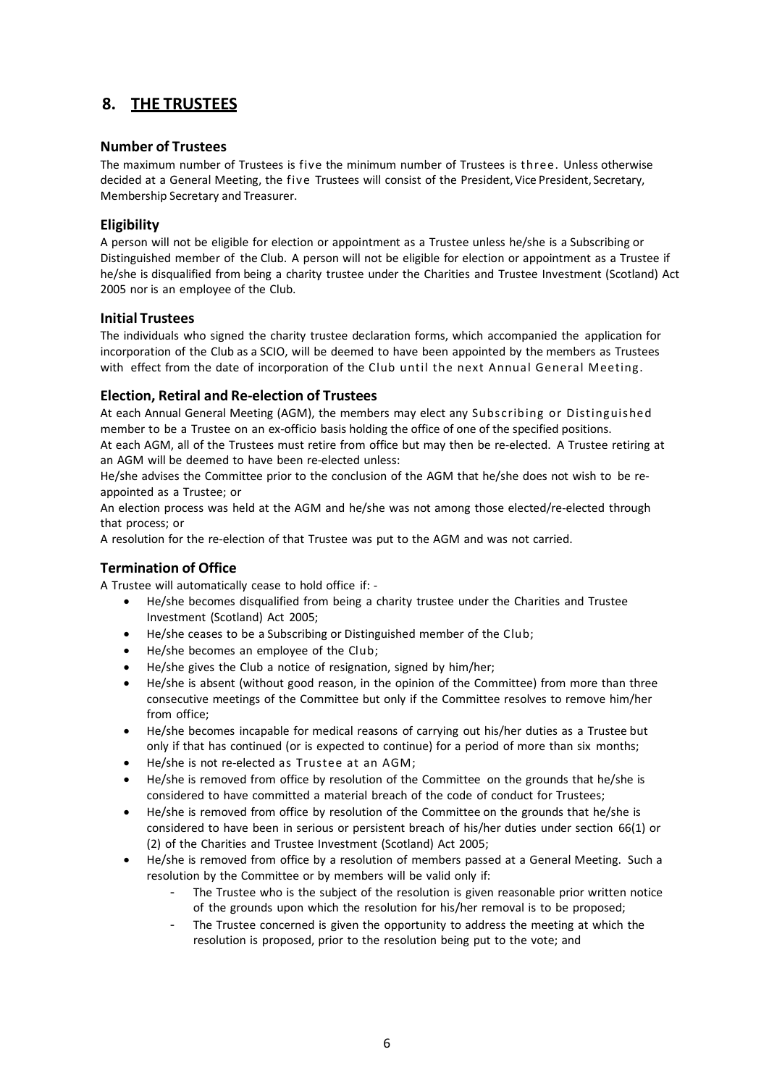# **8. THE TRUSTEES**

# **Number of Trustees**

The maximum number of Trustees is five the minimum number of Trustees is three. Unless otherwise decided at a General Meeting, the five Trustees will consist of the President, Vice President, Secretary, Membership Secretary and Treasurer.

# **Eligibility**

A person will not be eligible for election or appointment as a Trustee unless he/she is a Subscribing or Distinguished member of the Club. A person will not be eligible for election or appointment as a Trustee if he/she is disqualified from being a charity trustee under the Charities and Trustee Investment (Scotland) Act 2005 nor is an employee of the Club.

#### **Initial Trustees**

The individuals who signed the charity trustee declaration forms, which accompanied the application for incorporation of the Club as a SCIO, will be deemed to have been appointed by the members as Trustees with effect from the date of incorporation of the Club until the next Annual General Meeting.

# **Election, Retiral and Re-election of Trustees**

At each Annual General Meeting (AGM), the members may elect any Subscribing or Distinguished member to be a Trustee on an ex-officio basis holding the office of one of the specified positions. At each AGM, all of the Trustees must retire from office but may then be re-elected. A Trustee retiring at an AGM will be deemed to have been re-elected unless:

He/she advises the Committee prior to the conclusion of the AGM that he/she does not wish to be reappointed as a Trustee; or

An election process was held at the AGM and he/she was not among those elected/re-elected through that process; or

A resolution for the re-election of that Trustee was put to the AGM and was not carried.

# **Termination of Office**

A Trustee will automatically cease to hold office if: -

- He/she becomes disqualified from being a charity trustee under the Charities and Trustee Investment (Scotland) Act 2005;
- He/she ceases to be a Subscribing or Distinguished member of the Club;
- He/she becomes an employee of the Club;
- He/she gives the Club a notice of resignation, signed by him/her;
- He/she is absent (without good reason, in the opinion of the Committee) from more than three consecutive meetings of the Committee but only if the Committee resolves to remove him/her from office;
- He/she becomes incapable for medical reasons of carrying out his/her duties as a Trustee but only if that has continued (or is expected to continue) for a period of more than six months;
- He/she is not re-elected as Trustee at an AGM;
- He/she is removed from office by resolution of the Committee on the grounds that he/she is considered to have committed a material breach of the code of conduct for Trustees;
- He/she is removed from office by resolution of the Committee on the grounds that he/she is considered to have been in serious or persistent breach of his/her duties under section 66(1) or (2) of the Charities and Trustee Investment (Scotland) Act 2005;
- He/she is removed from office by a resolution of members passed at a General Meeting. Such a resolution by the Committee or by members will be valid only if:
	- The Trustee who is the subject of the resolution is given reasonable prior written notice of the grounds upon which the resolution for his/her removal is to be proposed;
	- The Trustee concerned is given the opportunity to address the meeting at which the resolution is proposed, prior to the resolution being put to the vote; and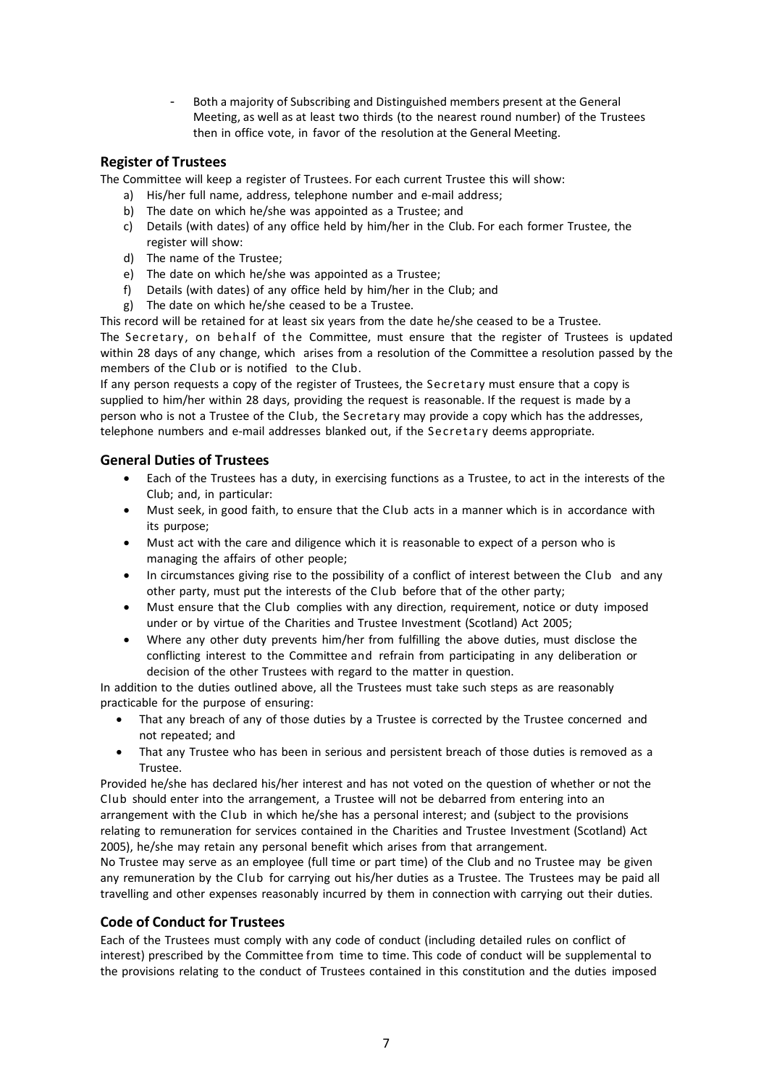- Both a majority of Subscribing and Distinguished members present at the General Meeting, as well as at least two thirds (to the nearest round number) of the Trustees then in office vote, in favor of the resolution at the General Meeting.

# **Register of Trustees**

The Committee will keep a register of Trustees. For each current Trustee this will show:

- a) His/her full name, address, telephone number and e-mail address;
- b) The date on which he/she was appointed as a Trustee; and
- c) Details (with dates) of any office held by him/her in the Club. For each former Trustee, the register will show:
- d) The name of the Trustee;
- e) The date on which he/she was appointed as a Trustee;
- f) Details (with dates) of any office held by him/her in the Club; and
- g) The date on which he/she ceased to be a Trustee.

This record will be retained for at least six years from the date he/she ceased to be a Trustee.

The Secretary, on behalf of the Committee, must ensure that the register of Trustees is updated within 28 days of any change, which arises from a resolution of the Committee a resolution passed by the members of the Club or is notified to the Club.

If any person requests a copy of the register of Trustees, the Secretary must ensure that a copy is supplied to him/her within 28 days, providing the request is reasonable. If the request is made by a person who is not a Trustee of the Club, the Secretary may provide a copy which has the addresses, telephone numbers and e-mail addresses blanked out, if the Secretary deems appropriate.

# **General Duties of Trustees**

- Each of the Trustees has a duty, in exercising functions as a Trustee, to act in the interests of the Club; and, in particular:
- Must seek, in good faith, to ensure that the Club acts in a manner which is in accordance with its purpose;
- Must act with the care and diligence which it is reasonable to expect of a person who is managing the affairs of other people;
- In circumstances giving rise to the possibility of a conflict of interest between the Club and any other party, must put the interests of the Club before that of the other party;
- Must ensure that the Club complies with any direction, requirement, notice or duty imposed under or by virtue of the Charities and Trustee Investment (Scotland) Act 2005;
- Where any other duty prevents him/her from fulfilling the above duties, must disclose the conflicting interest to the Committee and refrain from participating in any deliberation or decision of the other Trustees with regard to the matter in question.

In addition to the duties outlined above, all the Trustees must take such steps as are reasonably practicable for the purpose of ensuring:

- That any breach of any of those duties by a Trustee is corrected by the Trustee concerned and not repeated; and
- That any Trustee who has been in serious and persistent breach of those duties is removed as a Trustee.

Provided he/she has declared his/her interest and has not voted on the question of whether or not the Club should enter into the arrangement, a Trustee will not be debarred from entering into an arrangement with the Club in which he/she has a personal interest; and (subject to the provisions relating to remuneration for services contained in the Charities and Trustee Investment (Scotland) Act 2005), he/she may retain any personal benefit which arises from that arrangement.

No Trustee may serve as an employee (full time or part time) of the Club and no Trustee may be given any remuneration by the Club for carrying out his/her duties as a Trustee. The Trustees may be paid all travelling and other expenses reasonably incurred by them in connection with carrying out their duties.

# **Code of Conduct for Trustees**

Each of the Trustees must comply with any code of conduct (including detailed rules on conflict of interest) prescribed by the Committee from time to time. This code of conduct will be supplemental to the provisions relating to the conduct of Trustees contained in this constitution and the duties imposed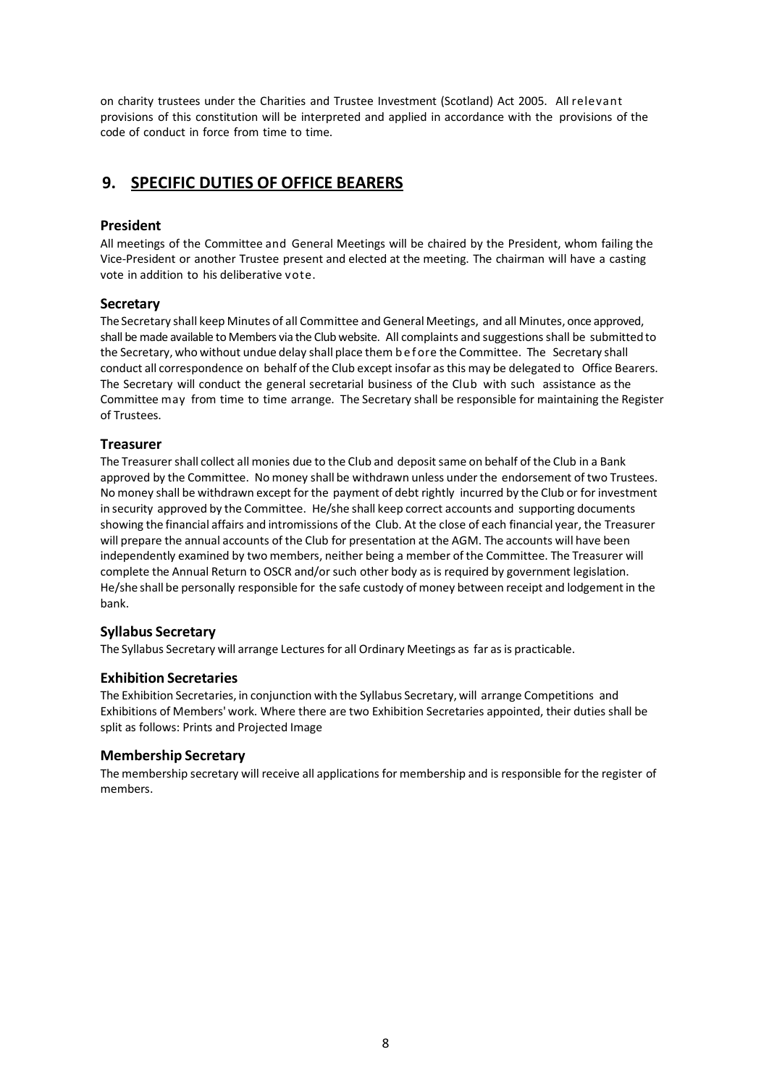on charity trustees under the Charities and Trustee Investment (Scotland) Act 2005. All relevant provisions of this constitution will be interpreted and applied in accordance with the provisions of the code of conduct in force from time to time.

# **9. SPECIFIC DUTIES OF OFFICE BEARERS**

# **President**

All meetings of the Committee and General Meetings will be chaired by the President, whom failing the Vice-President or another Trustee present and elected at the meeting. The chairman will have a casting vote in addition to his deliberative vote.

# **Secretary**

The Secretary shall keep Minutes of all Committee and General Meetings, and all Minutes, once approved, shall be made available to Members via the Club website. All complaints and suggestionsshall be submitted to the Secretary, who without undue delay shall place them b ef ore the Committee. The Secretary shall conduct all correspondence on behalf of the Club except insofar asthis may be delegated to Office Bearers. The Secretary will conduct the general secretarial business of the Club with such assistance as the Committee may from time to time arrange. The Secretary shall be responsible for maintaining the Register of Trustees.

# **Treasurer**

The Treasurer shall collect all monies due to the Club and deposit same on behalf of the Club in a Bank approved by the Committee. No money shall be withdrawn unless underthe endorsement of two Trustees. No money shall be withdrawn except for the payment of debt rightly incurred by the Club or for investment in security approved by the Committee. He/she shall keep correct accounts and supporting documents showing the financial affairs and intromissions of the Club. At the close of each financial year, the Treasurer will prepare the annual accounts of the Club for presentation at the AGM. The accounts will have been independently examined by two members, neither being a member of the Committee. The Treasurer will complete the Annual Return to OSCR and/orsuch other body as is required by government legislation. He/she shall be personally responsible for the safe custody of money between receipt and lodgement in the bank.

# **Syllabus Secretary**

The Syllabus Secretary will arrange Lectures for all Ordinary Meetings as far as is practicable.

# **Exhibition Secretaries**

The Exhibition Secretaries, in conjunction with the Syllabus Secretary, will arrange Competitions and Exhibitions of Members' work. Where there are two Exhibition Secretaries appointed, their duties shall be split as follows: Prints and Projected Image

# **Membership Secretary**

The membership secretary will receive all applications for membership and is responsible for the register of members.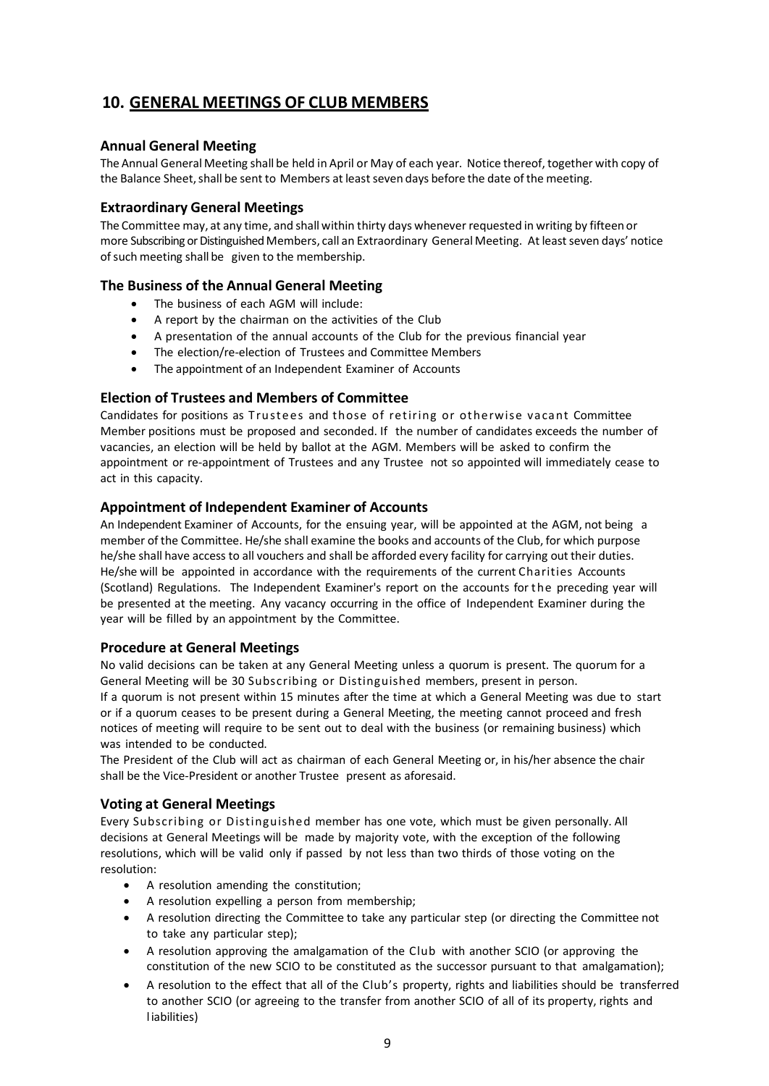# **10. GENERAL MEETINGS OF CLUB MEMBERS**

# **Annual General Meeting**

The Annual General Meeting shall be held in April or May of each year. Notice thereof, together with copy of the Balance Sheet, shall be sent to Members at least seven days before the date of the meeting.

# **Extraordinary General Meetings**

The Committee may, at any time, and shall within thirty days whenever requested in writing by fifteen or more Subscribing or Distinguished Members, call an Extraordinary General Meeting. At leastseven days' notice of such meeting shall be given to the membership.

# **The Business of the Annual General Meeting**

- The business of each AGM will include:
- A report by the chairman on the activities of the Club
- A presentation of the annual accounts of the Club for the previous financial year
- The election/re-election of Trustees and Committee Members
- The appointment of an Independent Examiner of Accounts

# **Election of Trustees and Members of Committee**

Candidates for positions as Trustees and those of retiring or otherwise vacant Committee Member positions must be proposed and seconded. If the number of candidates exceeds the number of vacancies, an election will be held by ballot at the AGM. Members will be asked to confirm the appointment or re-appointment of Trustees and any Trustee not so appointed will immediately cease to act in this capacity.

# **Appointment of Independent Examiner of Accounts**

An Independent Examiner of Accounts, for the ensuing year, will be appointed at the AGM, not being a member of the Committee. He/she shall examine the books and accounts of the Club, for which purpose he/she shall have access to all vouchers and shall be afforded every facility for carrying out their duties. He/she will be appointed in accordance with the requirements of the current Charities Accounts (Scotland) Regulations. The Independent Examiner's report on the accounts for the preceding year will be presented at the meeting. Any vacancy occurring in the office of Independent Examiner during the year will be filled by an appointment by the Committee.

# **Procedure at General Meetings**

No valid decisions can be taken at any General Meeting unless a quorum is present. The quorum for a General Meeting will be 30 Subscribing or Distinguished members, present in person.

If a quorum is not present within 15 minutes after the time at which a General Meeting was due to start or if a quorum ceases to be present during a General Meeting, the meeting cannot proceed and fresh notices of meeting will require to be sent out to deal with the business (or remaining business) which was intended to be conducted.

The President of the Club will act as chairman of each General Meeting or, in his/her absence the chair shall be the Vice-President or another Trustee present as aforesaid.

# **Voting at General Meetings**

Every Subscribing or Distinguished member has one vote, which must be given personally. All decisions at General Meetings will be made by majority vote, with the exception of the following resolutions, which will be valid only if passed by not less than two thirds of those voting on the resolution:

- A resolution amending the constitution;
- A resolution expelling a person from membership;
- A resolution directing the Committee to take any particular step (or directing the Committee not to take any particular step);
- A resolution approving the amalgamation of the Club with another SCIO (or approving the constitution of the new SCIO to be constituted as the successor pursuant to that amalgamation);
- A resolution to the effect that all of the Club's property, rights and liabilities should be transferred to another SCIO (or agreeing to the transfer from another SCIO of all of its property, rights and liabilities)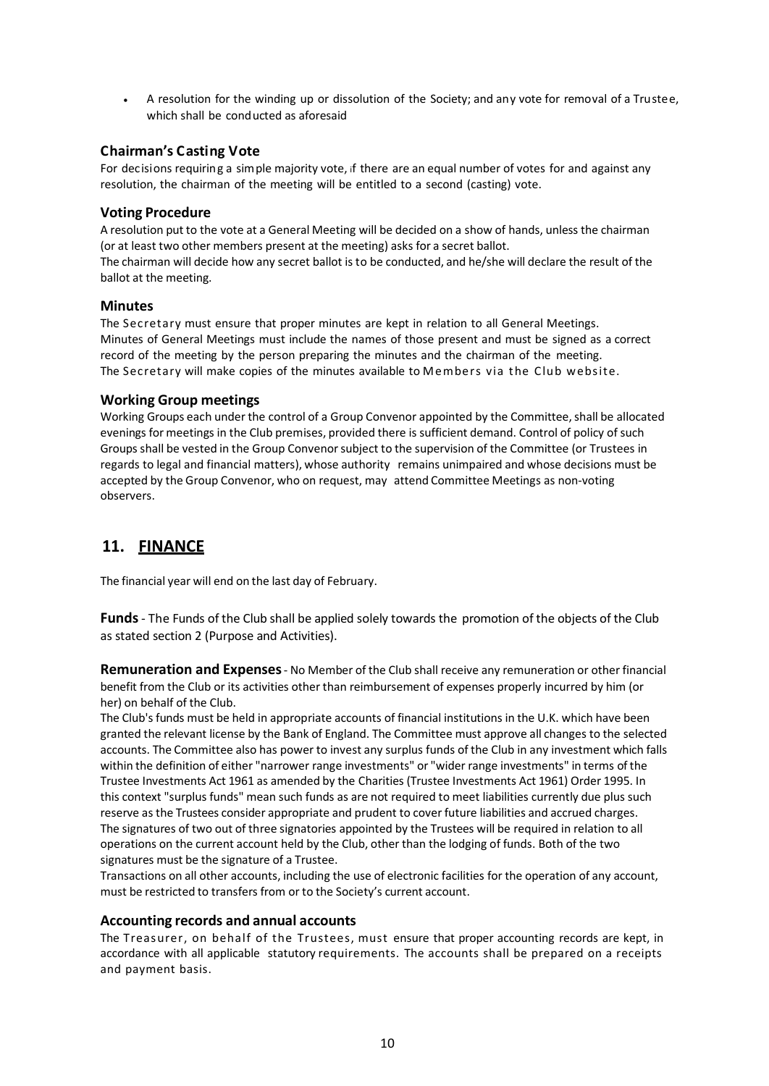• A resolution for the winding up or dissolution of the Society; and any vote for removal of a Trustee, which shall be conducted as aforesaid

# **Chairman's Casting Vote**

For decisions requiring a simple majority vote, if there are an equal number of votes for and against any resolution, the chairman of the meeting will be entitled to a second (casting) vote.

#### **Voting Procedure**

A resolution put to the vote at a General Meeting will be decided on a show of hands, unless the chairman (or at least two other members present at the meeting) asks for a secret ballot.

The chairman will decide how any secret ballot is to be conducted, and he/she will declare the result of the ballot at the meeting.

#### **Minutes**

The Secretary must ensure that proper minutes are kept in relation to all General Meetings. Minutes of General Meetings must include the names of those present and must be signed as a correct record of the meeting by the person preparing the minutes and the chairman of the meeting. The Secretary will make copies of the minutes available to Members via the Club website.

#### **Working Group meetings**

Working Groups each under the control of a Group Convenor appointed by the Committee, shall be allocated evenings for meetings in the Club premises, provided there is sufficient demand. Control of policy of such Groups shall be vested in the Group Convenorsubject to the supervision of the Committee (or Trustees in regards to legal and financial matters), whose authority remains unimpaired and whose decisions must be accepted by the Group Convenor, who on request, may attend Committee Meetings as non-voting observers.

# **11. FINANCE**

The financial year will end on the last day of February.

**Funds**- The Funds of the Club shall be applied solely towards the promotion of the objects of the Club as stated section 2 (Purpose and Activities).

**Remuneration and Expenses**- No Member of the Club shall receive any remuneration or other financial benefit from the Club or its activities other than reimbursement of expenses properly incurred by him (or her) on behalf of the Club.

The Club's funds must be held in appropriate accounts of financial institutions in the U.K. which have been granted the relevant license by the Bank of England. The Committee must approve all changes to the selected accounts. The Committee also has power to invest any surplus funds of the Club in any investment which falls within the definition of either "narrower range investments" or "wider range investments" in terms of the Trustee Investments Act 1961 as amended by the Charities (Trustee Investments Act 1961) Order 1995. In this context "surplus funds" mean such funds as are not required to meet liabilities currently due plus such reserve as the Trustees consider appropriate and prudent to cover future liabilities and accrued charges. The signatures of two out of three signatories appointed by the Trustees will be required in relation to all operations on the current account held by the Club, other than the lodging of funds. Both of the two signatures must be the signature of a Trustee.

Transactions on all other accounts, including the use of electronic facilities for the operation of any account, must be restricted to transfers from or to the Society's current account.

# **Accounting records and annual accounts**

The Treasurer, on behalf of the Trustees, must ensure that proper accounting records are kept, in accordance with all applicable statutory requirements. The accounts shall be prepared on a receipts and payment basis.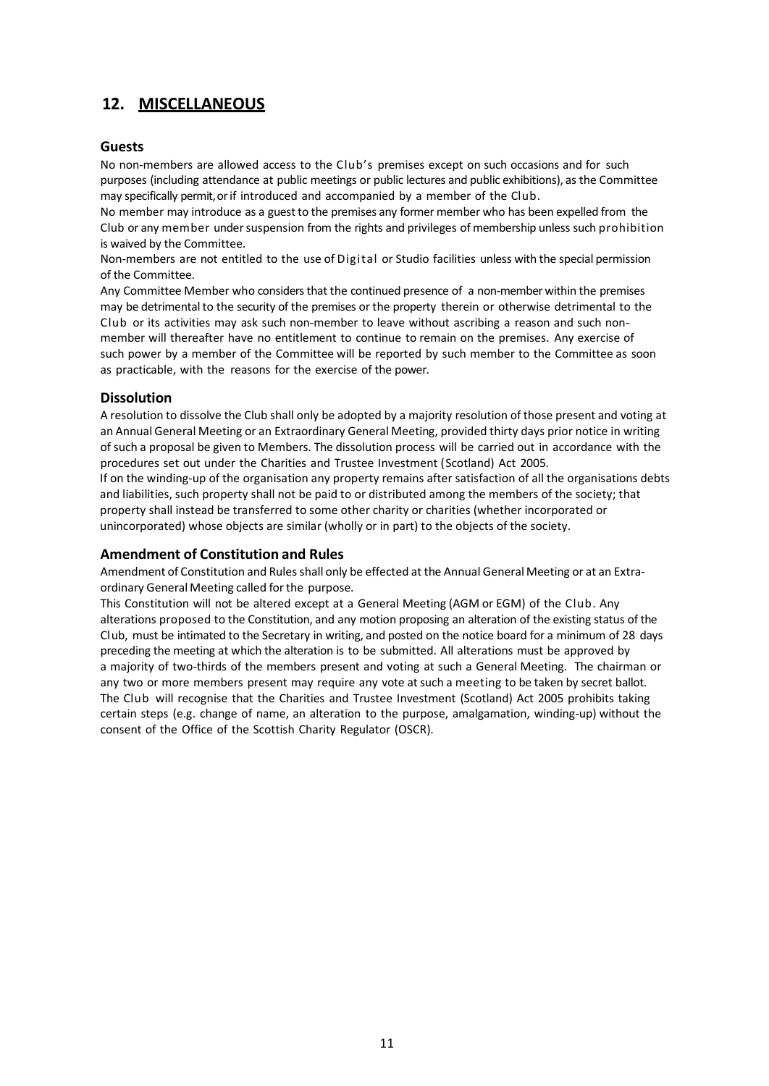# **12. MISCELLANEOUS**

# **Guests**

No non-members are allowed access to the Club's premises except on such occasions and for such purposes (including attendance at public meetings or public lectures and public exhibitions), as the Committee may specifically permit,orif introduced and accompanied by a member of the Club.

No member may introduce as a guest to the premises any former member who has been expelled from the Club or any member under suspension from the rights and privileges of membership unless such prohibition is waived by the Committee.

Non-members are not entitled to the use of Digital or Studio facilities unless with the special permission of the Committee.

Any Committee Member who considers that the continued presence of a non-member within the premises may be detrimental to the security of the premises or the property therein or otherwise detrimental to the Club or its activities may ask such non-member to leave without ascribing a reason and such nonmember will thereafter have no entitlement to continue to remain on the premises. Any exercise of such power by a member of the Committee will be reported by such member to the Committee as soon as practicable, with the reasons for the exercise of the power.

# **Dissolution**

A resolution to dissolve the Club shall only be adopted by a majority resolution of those present and voting at an Annual General Meeting or an Extraordinary General Meeting, provided thirty days prior notice in writing ofsuch a proposal be given to Members. The dissolution process will be carried out in accordance with the procedures set out under the Charities and Trustee Investment (Scotland) Act 2005.

If on the winding-up of the organisation any property remains after satisfaction of all the organisations debts and liabilities, such property shall not be paid to or distributed among the members of the society; that property shall instead be transferred to some other charity or charities (whether incorporated or unincorporated) whose objects are similar (wholly or in part) to the objects of the society.

# **Amendment of Constitution and Rules**

Amendment of Constitution and Rulesshall only be effected at the Annual General Meeting or at an Extraordinary General Meeting called forthe purpose.

This Constitution will not be altered except at a General Meeting (AGM or EGM) of the Club. Any alterations proposed to the Constitution, and any motion proposing an alteration of the existing status of the Club, must be intimated to the Secretary in writing, and posted on the notice board for a minimum of 28 days preceding the meeting at which the alteration is to be submitted. All alterations must be approved by a majority of two-thirds of the members present and voting at such a General Meeting. The chairman or any two or more members present may require any vote at such a meeting to be taken by secret ballot. The Club will recognise that the Charities and Trustee Investment (Scotland) Act 2005 prohibits taking certain steps (e.g. change of name, an alteration to the purpose, amalgamation, winding-up) without the consent of the Office of the Scottish Charity Regulator (OSCR).